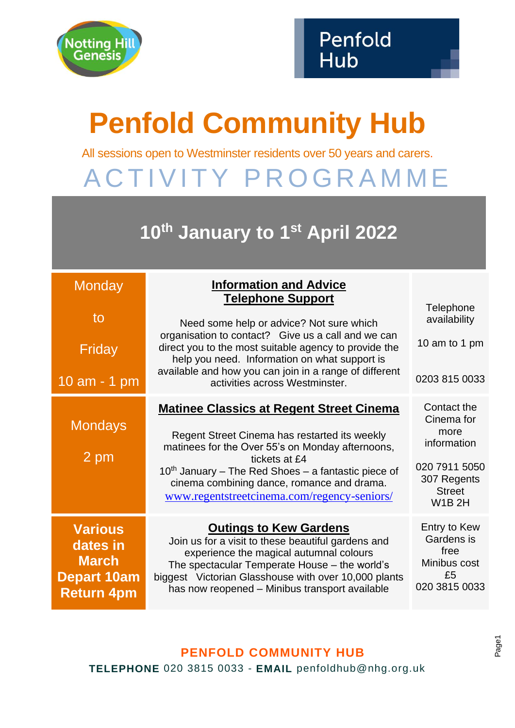

## **Penfold Community Hub**

All sessions open to Westminster residents over 50 years and carers.

A C T I V I T Y P R O G R A M M E

## **10th January to 1st April 2022**

| Monday<br>to<br>Friday<br>10 am - 1 pm                                                | <b>Information and Advice</b><br><b>Telephone Support</b><br>Need some help or advice? Not sure which<br>organisation to contact? Give us a call and we can<br>direct you to the most suitable agency to provide the<br>help you need. Information on what support is<br>available and how you can join in a range of different<br>activities across Westminster. | Telephone<br>availability<br>10 am to 1 pm<br>0203 815 0033                                                       |
|---------------------------------------------------------------------------------------|-------------------------------------------------------------------------------------------------------------------------------------------------------------------------------------------------------------------------------------------------------------------------------------------------------------------------------------------------------------------|-------------------------------------------------------------------------------------------------------------------|
| <b>Mondays</b><br>$2$ pm                                                              | <b>Matinee Classics at Regent Street Cinema</b><br>Regent Street Cinema has restarted its weekly<br>matinees for the Over 55's on Monday afternoons,<br>tickets at £4<br>$10th$ January – The Red Shoes – a fantastic piece of<br>cinema combining dance, romance and drama.<br>www.regentstreetcinema.com/regency-seniors/                                       | Contact the<br>Cinema for<br>more<br>information<br>020 7911 5050<br>307 Regents<br><b>Street</b><br><b>W1B2H</b> |
| <b>Various</b><br>dates in<br><b>March</b><br><b>Depart 10am</b><br><b>Return 4pm</b> | <b>Outings to Kew Gardens</b><br>Join us for a visit to these beautiful gardens and<br>experience the magical autumnal colours<br>The spectacular Temperate House - the world's<br>biggest Victorian Glasshouse with over 10,000 plants<br>has now reopened - Minibus transport available                                                                         | Entry to Kew<br>Gardens is<br>free<br>Minibus cost<br>£5<br>020 3815 0033                                         |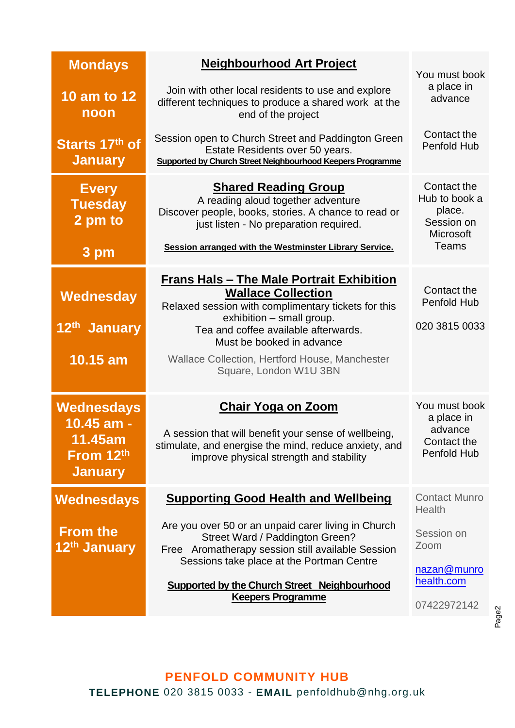| <b>Mondays</b>                                                            | <b>Neighbourhood Art Project</b>                                                                                                                                                                                                                | You must book                                                               |
|---------------------------------------------------------------------------|-------------------------------------------------------------------------------------------------------------------------------------------------------------------------------------------------------------------------------------------------|-----------------------------------------------------------------------------|
| 10 am to 12<br>noon                                                       | Join with other local residents to use and explore<br>different techniques to produce a shared work at the<br>end of the project                                                                                                                | a place in<br>advance                                                       |
| Starts 17th of<br><b>January</b>                                          | Session open to Church Street and Paddington Green<br>Estate Residents over 50 years.<br>Supported by Church Street Neighbourhood Keepers Programme                                                                                             | Contact the<br><b>Penfold Hub</b>                                           |
| <b>Every</b><br><b>Tuesday</b><br>2 pm to<br>3 pm                         | <b>Shared Reading Group</b><br>A reading aloud together adventure<br>Discover people, books, stories. A chance to read or<br>just listen - No preparation required.<br>Session arranged with the Westminster Library Service.                   | Contact the<br>Hub to book a<br>place.<br>Session on<br>Microsoft<br>Teams  |
| Wednesday<br>12 <sup>th</sup> January                                     | <b>Frans Hals - The Male Portrait Exhibition</b><br><b>Wallace Collection</b><br>Relaxed session with complimentary tickets for this<br>exhibition - small group.<br>Tea and coffee available afterwards.<br>Must be booked in advance          | Contact the<br><b>Penfold Hub</b><br>020 3815 0033                          |
| 10.15 am                                                                  | Wallace Collection, Hertford House, Manchester<br>Square, London W1U 3BN                                                                                                                                                                        |                                                                             |
| <b>Wednesdays</b><br>10.45 am -<br>11.45am<br>From 12th<br><b>January</b> | <b>Chair Yoga on Zoom</b><br>A session that will benefit your sense of wellbeing,<br>stimulate, and energise the mind, reduce anxiety, and<br>improve physical strength and stability                                                           | You must book<br>a place in<br>advance<br>Contact the<br><b>Penfold Hub</b> |
| <b>Wednesdays</b>                                                         | <b>Supporting Good Health and Wellbeing</b>                                                                                                                                                                                                     | <b>Contact Munro</b><br>Health                                              |
| <b>From the</b><br>12 <sup>th</sup> January                               | Are you over 50 or an unpaid carer living in Church<br>Street Ward / Paddington Green?<br>Free Aromatherapy session still available Session<br>Sessions take place at the Portman Centre<br><b>Supported by the Church Street Neighbourhood</b> | Session on<br>Zoom<br>nazan@munro<br>health.com                             |
|                                                                           | <b>Keepers Programme</b>                                                                                                                                                                                                                        | 07422972142                                                                 |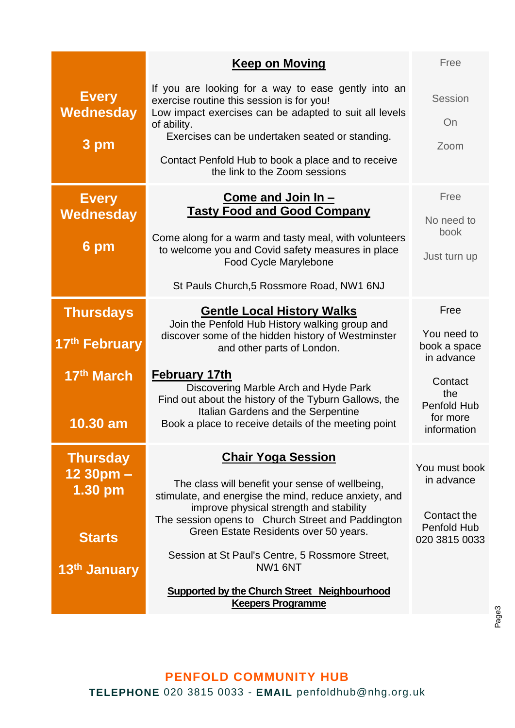|                                          | <b>Keep on Moving</b>                                                                                                                                                                                                        | Free                                                            |
|------------------------------------------|------------------------------------------------------------------------------------------------------------------------------------------------------------------------------------------------------------------------------|-----------------------------------------------------------------|
| <b>Every</b><br><b>Wednesday</b><br>3 pm | If you are looking for a way to ease gently into an<br>exercise routine this session is for you!<br>Low impact exercises can be adapted to suit all levels<br>of ability.<br>Exercises can be undertaken seated or standing. | Session<br>On<br>Zoom                                           |
|                                          | Contact Penfold Hub to book a place and to receive<br>the link to the Zoom sessions                                                                                                                                          |                                                                 |
| <b>Every</b><br>Wednesday                | Come and Join In -<br><b>Tasty Food and Good Company</b>                                                                                                                                                                     | Free<br>No need to                                              |
| 6 pm                                     | Come along for a warm and tasty meal, with volunteers<br>to welcome you and Covid safety measures in place<br><b>Food Cycle Marylebone</b>                                                                                   | book<br>Just turn up                                            |
|                                          | St Pauls Church, 5 Rossmore Road, NW1 6NJ                                                                                                                                                                                    |                                                                 |
| <b>Thursdays</b>                         | <b>Gentle Local History Walks</b><br>Join the Penfold Hub History walking group and                                                                                                                                          | Free                                                            |
| 17th February                            | discover some of the hidden history of Westminster<br>and other parts of London.                                                                                                                                             | You need to<br>book a space<br>in advance                       |
| 17th March<br>10.30 am                   | February 17th<br>Discovering Marble Arch and Hyde Park<br>Find out about the history of the Tyburn Gallows, the<br>Italian Gardens and the Serpentine<br>Book a place to receive details of the meeting point                | Contact<br>the<br><b>Penfold Hub</b><br>for more<br>information |
| <b>Thursday</b>                          | <b>Chair Yoga Session</b>                                                                                                                                                                                                    | You must book                                                   |
| $1230$ pm $-$<br>$1.30$ pm               | The class will benefit your sense of wellbeing,<br>stimulate, and energise the mind, reduce anxiety, and<br>improve physical strength and stability                                                                          | in advance                                                      |
| <b>Starts</b>                            | The session opens to Church Street and Paddington<br>Green Estate Residents over 50 years.                                                                                                                                   | Contact the<br>Penfold Hub<br>020 3815 0033                     |
| 13 <sup>th</sup> January                 | Session at St Paul's Centre, 5 Rossmore Street,<br>NW1 6NT                                                                                                                                                                   |                                                                 |
|                                          | <b>Supported by the Church Street Neighbourhood</b><br><b>Keepers Programme</b>                                                                                                                                              |                                                                 |

## **PENFOLD COMMUNITY HUB TELEPHONE** 020 3815 0033 - **EMAIL** penfoldhub@nhg.org.uk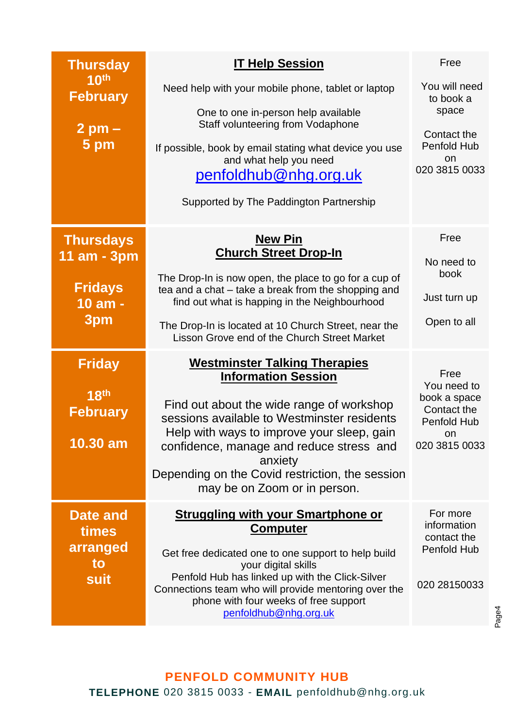| <b>Thursday</b><br>10 <sup>th</sup><br><b>February</b><br>$2$ pm $-$<br>5 pm | <b>IT Help Session</b><br>Need help with your mobile phone, tablet or laptop<br>One to one in-person help available<br>Staff volunteering from Vodaphone<br>If possible, book by email stating what device you use<br>and what help you need<br>penfoldhub@nhg.org.uk<br>Supported by The Paddington Partnership                                       | Free<br>You will need<br>to book a<br>space<br>Contact the<br>Penfold Hub<br>on<br>020 3815 0033 |
|------------------------------------------------------------------------------|--------------------------------------------------------------------------------------------------------------------------------------------------------------------------------------------------------------------------------------------------------------------------------------------------------------------------------------------------------|--------------------------------------------------------------------------------------------------|
| <b>Thursdays</b><br>11 am - 3pm<br><b>Fridays</b><br>10 am -<br>3pm          | <b>New Pin</b><br><b>Church Street Drop-In</b><br>The Drop-In is now open, the place to go for a cup of<br>tea and a chat - take a break from the shopping and<br>find out what is happing in the Neighbourhood<br>The Drop-In is located at 10 Church Street, near the<br>Lisson Grove end of the Church Street Market                                | Free<br>No need to<br>book<br>Just turn up<br>Open to all                                        |
| <b>Friday</b><br>18 <sup>th</sup><br><b>February</b><br>$10.30$ am           | <b>Westminster Talking Therapies</b><br><b>Information Session</b><br>Find out about the wide range of workshop<br>sessions available to Westminster residents<br>Help with ways to improve your sleep, gain<br>confidence, manage and reduce stress and<br>anxiety<br>Depending on the Covid restriction, the session<br>may be on Zoom or in person. | Free<br>You need to<br>book a space<br>Contact the<br>Penfold Hub<br>on.<br>020 3815 0033        |
| Date and<br>times<br>arranged<br>to<br>suit                                  | <b>Struggling with your Smartphone or</b><br><b>Computer</b><br>Get free dedicated one to one support to help build<br>your digital skills<br>Penfold Hub has linked up with the Click-Silver<br>Connections team who will provide mentoring over the<br>phone with four weeks of free support<br>penfoldhub@nhg.org.uk                                | For more<br>information<br>contact the<br>Penfold Hub<br>020 28150033                            |

## **PENFOLD COMMUNITY HUB TELEPHONE** 020 3815 0033 - **EMAIL** penfoldhub@nhg.org.uk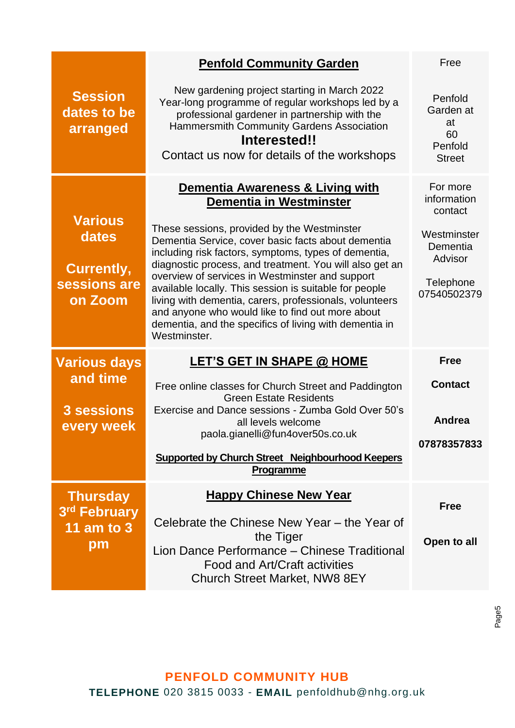|                                                                         | <b>Penfold Community Garden</b>                                                                                                                                                                                                                                                                                                                                                                                                                                                                                                                                                           | Free                                                                                                 |
|-------------------------------------------------------------------------|-------------------------------------------------------------------------------------------------------------------------------------------------------------------------------------------------------------------------------------------------------------------------------------------------------------------------------------------------------------------------------------------------------------------------------------------------------------------------------------------------------------------------------------------------------------------------------------------|------------------------------------------------------------------------------------------------------|
| <b>Session</b><br>dates to be<br>arranged                               | New gardening project starting in March 2022<br>Year-long programme of regular workshops led by a<br>professional gardener in partnership with the<br><b>Hammersmith Community Gardens Association</b><br>Interested!!<br>Contact us now for details of the workshops                                                                                                                                                                                                                                                                                                                     | Penfold<br>Garden at<br>at<br>60<br>Penfold<br><b>Street</b>                                         |
| <b>Various</b><br>dates<br><b>Currently,</b><br>sessions are<br>on Zoom | Dementia Awareness & Living with<br>Dementia in Westminster<br>These sessions, provided by the Westminster<br>Dementia Service, cover basic facts about dementia<br>including risk factors, symptoms, types of dementia,<br>diagnostic process, and treatment. You will also get an<br>overview of services in Westminster and support<br>available locally. This session is suitable for people<br>living with dementia, carers, professionals, volunteers<br>and anyone who would like to find out more about<br>dementia, and the specifics of living with dementia in<br>Westminster. | For more<br>information<br>contact<br>Westminster<br>Dementia<br>Advisor<br>Telephone<br>07540502379 |
| <b>Various days</b><br>and time<br>3 sessions<br>every week             | <b>LET'S GET IN SHAPE @ HOME</b><br>Free online classes for Church Street and Paddington<br><b>Green Estate Residents</b><br>Exercise and Dance sessions - Zumba Gold Over 50's<br>all levels welcome<br>paola.gianelli@fun4over50s.co.uk<br>Supported by Church Street Neighbourhood Keepers<br>Programme                                                                                                                                                                                                                                                                                | <b>Free</b><br><b>Contact</b><br><b>Andrea</b><br>07878357833                                        |
| <b>Thursday</b><br>3rd February<br><b>11 am to 3</b><br>pm              | <b>Happy Chinese New Year</b><br>Celebrate the Chinese New Year - the Year of<br>the Tiger<br>Lion Dance Performance - Chinese Traditional<br><b>Food and Art/Craft activities</b><br><b>Church Street Market, NW8 8EY</b>                                                                                                                                                                                                                                                                                                                                                                | <b>Free</b><br>Open to all                                                                           |